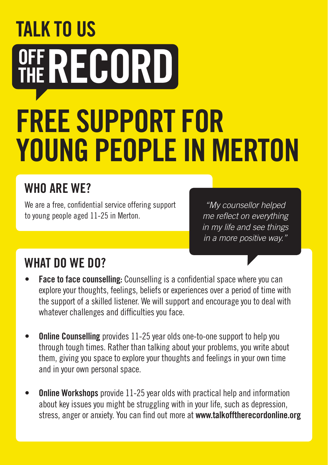# **TALK TO US** OFF RECORD FREE SUPPORT FOR YOUNG PEOPLE IN MERTON

## WHO ARF WF?

We are a free, confidential service offering support to young people aged 11-25 in Merton.

*"My counsellor helped me reflect on everything in my life and see things in a more positive way."*

### WHAT DO WF DO?

- **Face to face counselling:** Counselling is a confidential space where you can explore your thoughts, feelings, beliefs or experiences over a period of time with the support of a skilled listener. We will support and encourage you to deal with whatever challenges and difficulties you face.
- **Online Counselling** provides 11-25 year olds one-to-one support to help you through tough times. Rather than talking about your problems, you write about them, giving you space to explore your thoughts and feelings in your own time and in your own personal space.
- **Online Workshops** provide 11-25 year olds with practical help and information about key issues you might be struggling with in your life, such as depression, stress, anger or anxiety. You can find out more at www.talkofftherecordonline.org